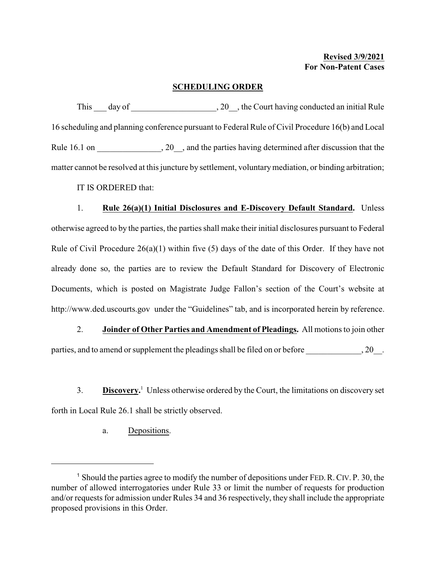## **SCHEDULING ORDER**

This day of  $\qquad \qquad$ , 20, the Court having conducted an initial Rule 16 scheduling and planning conference pursuant to Federal Rule of Civil Procedure 16(b) and Local Rule 16.1 on  $\qquad \qquad$ , 20  $\qquad$ , and the parties having determined after discussion that the matter cannot be resolved at this juncture by settlement, voluntary mediation, or binding arbitration; IT IS ORDERED that:

1. **Rule 26(a)(1) Initial Disclosures and E-Discovery Default Standard.** Unless otherwise agreed to by the parties, the parties shall make their initial disclosures pursuant to Federal Rule of Civil Procedure  $26(a)(1)$  within five (5) days of the date of this Order. If they have not already done so, the parties are to review the Default Standard for Discovery of Electronic Documents, which is posted on Magistrate Judge Fallon's section of the Court's website at http://www.ded.uscourts.gov under the "Guidelines" tab, and is incorporated herein by reference.

2. **Joinder of Other Parties and Amendment of Pleadings.** All motions to join other parties, and to amend or supplement the pleadings shall be filed on or before  $\qquad \qquad , 20$ .

3. **Discovery.**<sup>1</sup> Unless otherwise ordered by the Court, the limitations on discovery set forth in Local Rule 26.1 shall be strictly observed.

a. Depositions.

<sup>&</sup>lt;sup>1</sup> Should the parties agree to modify the number of depositions under FED. R. CIV. P. 30, the number of allowed interrogatories under Rule 33 or limit the number of requests for production and/or requests for admission under Rules 34 and 36 respectively, they shall include the appropriate proposed provisions in this Order.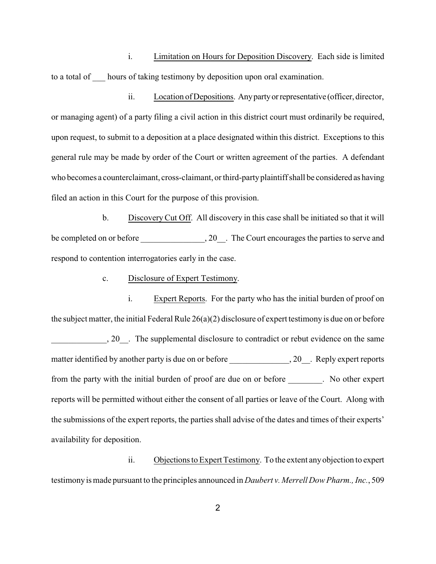i. Limitation on Hours for Deposition Discovery. Each side is limited to a total of \_\_\_ hours of taking testimony by deposition upon oral examination.

ii. Location of Depositions. Any party or representative (officer, director, or managing agent) of a party filing a civil action in this district court must ordinarily be required, upon request, to submit to a deposition at a place designated within this district. Exceptions to this general rule may be made by order of the Court or written agreement of the parties. A defendant who becomes a counterclaimant, cross-claimant, or third-partyplaintiff shall be considered as having filed an action in this Court for the purpose of this provision.

b. Discovery Cut Off. All discovery in this case shall be initiated so that it will be completed on or before \_\_\_\_\_\_\_\_\_\_\_\_\_\_\_\_\_, 20\_\_. The Court encourages the parties to serve and respond to contention interrogatories early in the case.

c. Disclosure of Expert Testimony.

i. Expert Reports. For the party who has the initial burden of proof on the subject matter, the initial Federal Rule 26(a)(2) disclosure of expert testimony is due on or before 20<sub>\_\_</sub>. The supplemental disclosure to contradict or rebut evidence on the same matter identified by another party is due on or before \_\_\_\_\_\_\_\_\_\_\_\_\_, 20\_\_. Reply expert reports from the party with the initial burden of proof are due on or before \_\_\_\_\_\_\_\_. No other expert reports will be permitted without either the consent of all parties or leave of the Court. Along with the submissions of the expert reports, the parties shall advise of the dates and times of their experts' availability for deposition.

ii. Objections to Expert Testimony. To the extent anyobjection to expert testimony is made pursuant to the principles announced in *Daubert v. Merrell Dow Pharm., Inc.*, 509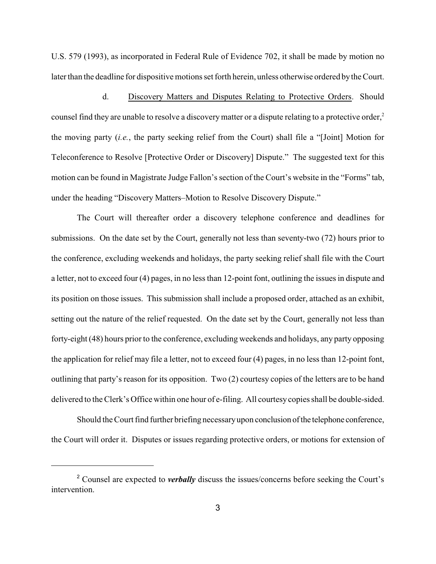U.S. 579 (1993), as incorporated in Federal Rule of Evidence 702, it shall be made by motion no later than the deadline for dispositive motions set forth herein, unless otherwise ordered bythe Court.

d. Discovery Matters and Disputes Relating to Protective Orders. Should counsel find they are unable to resolve a discovery matter or a dispute relating to a protective order,<sup>2</sup> the moving party (*i.e.*, the party seeking relief from the Court) shall file a "[Joint] Motion for Teleconference to Resolve [Protective Order or Discovery] Dispute." The suggested text for this motion can be found in Magistrate Judge Fallon's section of the Court's website in the "Forms" tab, under the heading "Discovery Matters–Motion to Resolve Discovery Dispute."

The Court will thereafter order a discovery telephone conference and deadlines for submissions. On the date set by the Court, generally not less than seventy-two (72) hours prior to the conference, excluding weekends and holidays, the party seeking relief shall file with the Court a letter, not to exceed four (4) pages, in no less than 12-point font, outlining the issues in dispute and its position on those issues. This submission shall include a proposed order, attached as an exhibit, setting out the nature of the relief requested. On the date set by the Court, generally not less than forty-eight (48) hours prior to the conference, excluding weekends and holidays, any party opposing the application for relief may file a letter, not to exceed four (4) pages, in no less than 12-point font, outlining that party's reason for its opposition. Two (2) courtesy copies of the letters are to be hand delivered to the Clerk's Office within one hour of e-filing. All courtesycopies shall be double-sided.

Should the Court find further briefing necessaryupon conclusion ofthe telephone conference, the Court will order it. Disputes or issues regarding protective orders, or motions for extension of

<sup>2</sup> Counsel are expected to *verbally* discuss the issues/concerns before seeking the Court's intervention.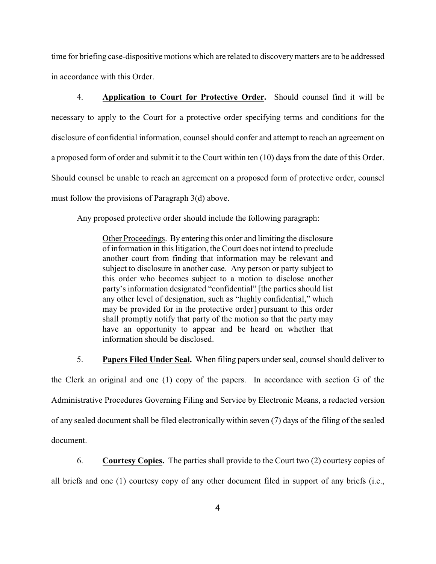time for briefing case-dispositive motions which are related to discoverymatters are to be addressed in accordance with this Order.

4. **Application to Court for Protective Order.** Should counsel find it will be necessary to apply to the Court for a protective order specifying terms and conditions for the disclosure of confidential information, counsel should confer and attempt to reach an agreement on a proposed form of order and submit it to the Court within ten (10) days from the date of this Order. Should counsel be unable to reach an agreement on a proposed form of protective order, counsel must follow the provisions of Paragraph 3(d) above.

Any proposed protective order should include the following paragraph:

Other Proceedings. By entering this order and limiting the disclosure of information in this litigation, the Court does not intend to preclude another court from finding that information may be relevant and subject to disclosure in another case. Any person or party subject to this order who becomes subject to a motion to disclose another party's information designated "confidential" [the parties should list any other level of designation, such as "highly confidential," which may be provided for in the protective order] pursuant to this order shall promptly notify that party of the motion so that the party may have an opportunity to appear and be heard on whether that information should be disclosed.

5. **Papers Filed Under Seal.** When filing papers under seal, counsel should deliver to

the Clerk an original and one (1) copy of the papers. In accordance with section G of the Administrative Procedures Governing Filing and Service by Electronic Means, a redacted version of any sealed document shall be filed electronically within seven (7) days of the filing of the sealed document.

6. **Courtesy Copies.** The parties shall provide to the Court two (2) courtesy copies of

all briefs and one (1) courtesy copy of any other document filed in support of any briefs (i.e.,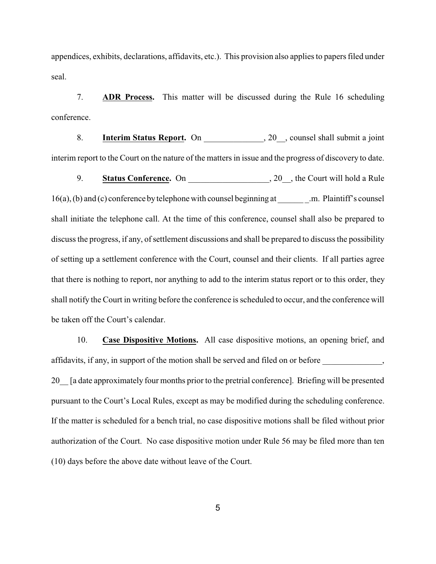appendices, exhibits, declarations, affidavits, etc.). This provision also applies to papers filed under seal.

7. **ADR Process.** This matter will be discussed during the Rule 16 scheduling conference.

8. **Interim Status Report.** On \_\_\_\_\_\_\_\_\_\_\_\_\_\_, 20\_\_, counsel shall submit a joint interim report to the Court on the nature of the matters in issue and the progress of discovery to date.

9. **Status Conference.** On \_\_\_\_\_\_\_\_\_\_\_\_\_\_\_\_\_, 20\_, the Court will hold a Rule 16(a), (b) and (c) conference by telephone with counsel beginning at \_\_\_\_\_\_\_. m. Plaintiff's counsel shall initiate the telephone call. At the time of this conference, counsel shall also be prepared to discuss the progress, if any, of settlement discussions and shall be prepared to discuss the possibility of setting up a settlement conference with the Court, counsel and their clients. If all parties agree that there is nothing to report, nor anything to add to the interim status report or to this order, they shall notify the Court in writing before the conference is scheduled to occur, and the conference will be taken off the Court's calendar.

10. **Case Dispositive Motions.** All case dispositive motions, an opening brief, and affidavits, if any, in support of the motion shall be served and filed on or before \_\_\_\_\_\_\_\_\_\_\_\_, 20\_\_ [a date approximately four months prior to the pretrial conference]. Briefing will be presented pursuant to the Court's Local Rules, except as may be modified during the scheduling conference. If the matter is scheduled for a bench trial, no case dispositive motions shall be filed without prior authorization of the Court. No case dispositive motion under Rule 56 may be filed more than ten (10) days before the above date without leave of the Court.

5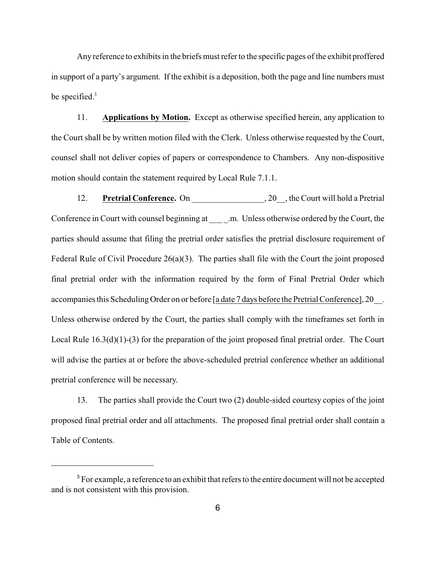Any reference to exhibits in the briefs must refer to the specific pages of the exhibit proffered in support of a party's argument. If the exhibit is a deposition, both the page and line numbers must be specified.<sup>3</sup>

11. **Applications by Motion.** Except as otherwise specified herein, any application to the Court shall be by written motion filed with the Clerk. Unless otherwise requested by the Court, counsel shall not deliver copies of papers or correspondence to Chambers. Any non-dispositive motion should contain the statement required by Local Rule 7.1.1.

12. **Pretrial Conference.** On 20 , the Court will hold a Pretrial Conference in Court with counsel beginning at \_\_\_\_ .m. Unless otherwise ordered by the Court, the parties should assume that filing the pretrial order satisfies the pretrial disclosure requirement of Federal Rule of Civil Procedure 26(a)(3). The parties shall file with the Court the joint proposed final pretrial order with the information required by the form of Final Pretrial Order which accompanies this Scheduling Order on or before [a date 7 days before the Pretrial Conference], 20\_\_. Unless otherwise ordered by the Court, the parties shall comply with the timeframes set forth in Local Rule  $16.3(d)(1)-(3)$  for the preparation of the joint proposed final pretrial order. The Court will advise the parties at or before the above-scheduled pretrial conference whether an additional pretrial conference will be necessary.

13. The parties shall provide the Court two (2) double-sided courtesy copies of the joint proposed final pretrial order and all attachments. The proposed final pretrial order shall contain a Table of Contents.

 $3$  For example, a reference to an exhibit that refers to the entire document will not be accepted and is not consistent with this provision.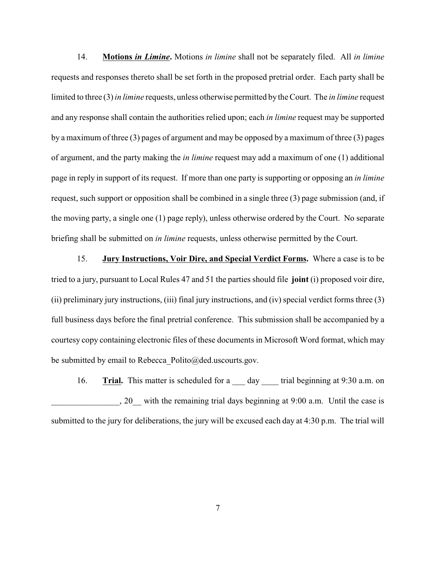14. **Motions** *in Limine***.** Motions *in limine* shall not be separately filed. All *in limine* requests and responses thereto shall be set forth in the proposed pretrial order. Each party shall be limited to three (3) *in limine* requests, unless otherwise permitted by the Court. The *in limine* request and any response shall contain the authorities relied upon; each *in limine* request may be supported by a maximum of three (3) pages of argument and may be opposed by a maximum of three (3) pages of argument, and the party making the *in limine* request may add a maximum of one (1) additional page in reply in support of its request. If more than one party is supporting or opposing an *in limine* request, such support or opposition shall be combined in a single three (3) page submission (and, if the moving party, a single one (1) page reply), unless otherwise ordered by the Court. No separate briefing shall be submitted on *in limine* requests, unless otherwise permitted by the Court.

15. **Jury Instructions, Voir Dire, and Special Verdict Forms.** Where a case is to be tried to a jury, pursuant to Local Rules 47 and 51 the parties should file **joint** (i) proposed voir dire, (ii) preliminary jury instructions, (iii) final jury instructions, and (iv) special verdict forms three (3) full business days before the final pretrial conference. This submission shall be accompanied by a courtesy copy containing electronic files of these documents in Microsoft Word format, which may be submitted by email to Rebecca Polito@ded.uscourts.gov.

16. **Trial.** This matter is scheduled for a day trial beginning at 9:30 a.m. on \_\_\_\_\_\_\_\_\_\_\_\_\_\_\_\_, 20\_\_ with the remaining trial days beginning at 9:00 a.m. Until the case is submitted to the jury for deliberations, the jury will be excused each day at 4:30 p.m. The trial will